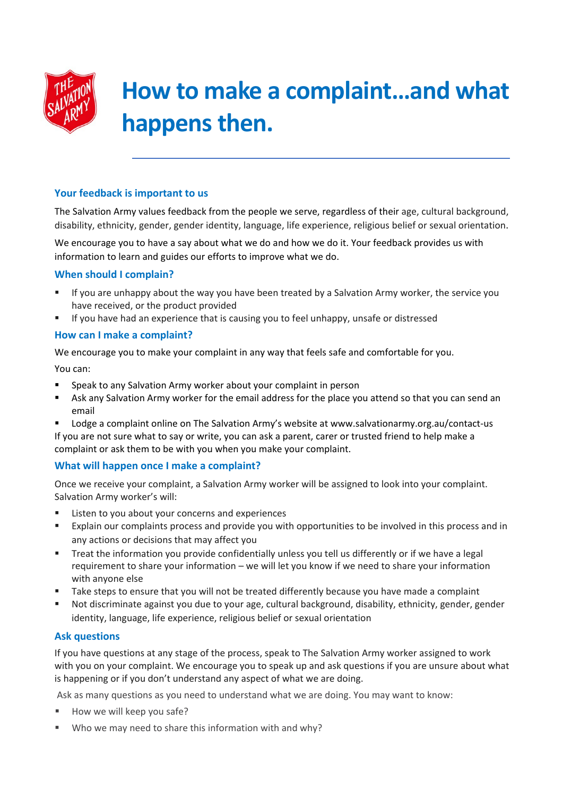

# **How to make a complaint…and what happens then.**

## **Your feedback is important to us**

The Salvation Army values feedback from the people we serve, regardless of their age, cultural background, disability, ethnicity, gender, gender identity, language, life experience, religious belief or sexual orientation.

We encourage you to have a say about what we do and how we do it. Your feedback provides us with information to learn and guides our efforts to improve what we do.

#### **When should I complain?**

- If you are unhappy about the way you have been treated by a Salvation Army worker, the service you have received, or the product provided
- If you have had an experience that is causing you to feel unhappy, unsafe or distressed

### **How can I make a complaint?**

We encourage you to make your complaint in any way that feels safe and comfortable for you.

You can:

- **Speak to any Salvation Army worker about your complaint in person**
- Ask any Salvation Army worker for the email address for the place you attend so that you can send an email
- Lodge a complaint online on The Salvation Army's website at www.salvationarmy.org.au/contact-us If you are not sure what to say or write, you can ask a parent, carer or trusted friend to help make a complaint or ask them to be with you when you make your complaint.

## **What will happen once I make a complaint?**

Once we receive your complaint, a Salvation Army worker will be assigned to look into your complaint. Salvation Army worker's will:

- Listen to you about your concerns and experiences
- Explain our complaints process and provide you with opportunities to be involved in this process and in any actions or decisions that may affect you
- **Treat the information you provide confidentially unless you tell us differently or if we have a legal** requirement to share your information – we will let you know if we need to share your information with anyone else
- Take steps to ensure that you will not be treated differently because you have made a complaint
- Not discriminate against you due to your age, cultural background, disability, ethnicity, gender, gender identity, language, life experience, religious belief or sexual orientation

## **Ask questions**

If you have questions at any stage of the process, speak to The Salvation Army worker assigned to work with you on your complaint. We encourage you to speak up and ask questions if you are unsure about what is happening or if you don't understand any aspect of what we are doing.

Ask as many questions as you need to understand what we are doing. You may want to know:

- How we will keep you safe?
- Who we may need to share this information with and why?